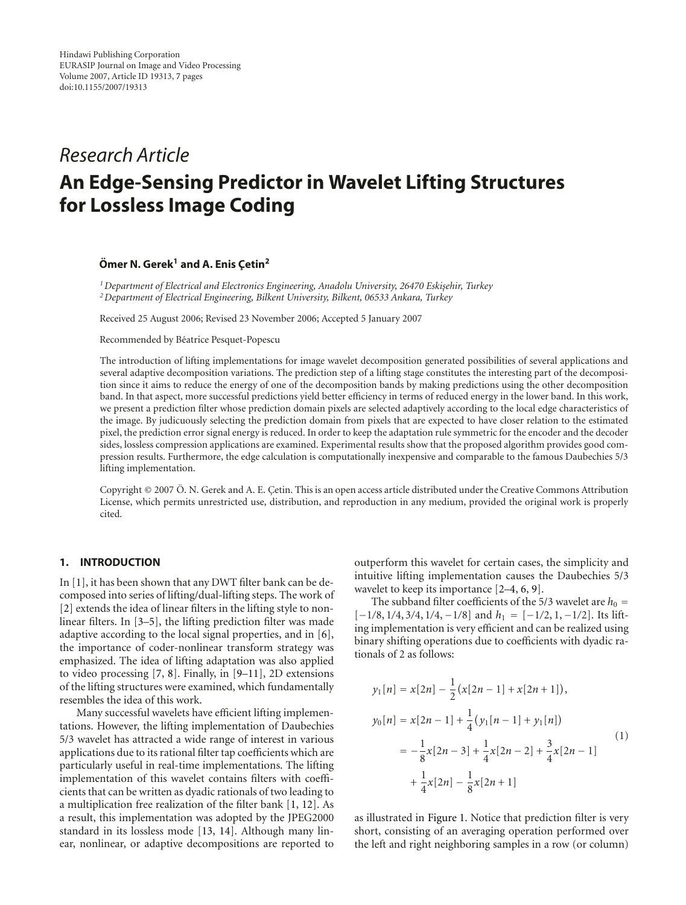# *Research Article*

# **An Edge-Sensing Predictor in Wavelet Lifting Structures for Lossless Image Coding**

# **Ömer N. Gerek<sup>1</sup> and A. Enis Çetin<sup>2</sup>**

<sup>1</sup> Department of Electrical and Electronics Engineering, Anadolu University, 26470 Eskişehir, Turkey *2Department of Electrical Engineering, Bilkent University, Bilkent, 06533 Ankara, Turkey*

Received 25 August 2006; Revised 23 November 2006; Accepted 5 January 2007

Recommended by Béatrice Pesquet-Popescu

The introduction of lifting implementations for image wavelet decomposition generated possibilities of several applications and several adaptive decomposition variations. The prediction step of a lifting stage constitutes the interesting part of the decomposition since it aims to reduce the energy of one of the decomposition bands by making predictions using the other decomposition band. In that aspect, more successful predictions yield better efficiency in terms of reduced energy in the lower band. In this work, we present a prediction filter whose prediction domain pixels are selected adaptively according to the local edge characteristics of the image. By judicuously selecting the prediction domain from pixels that are expected to have closer relation to the estimated pixel, the prediction error signal energy is reduced. In order to keep the adaptation rule symmetric for the encoder and the decoder sides, lossless compression applications are examined. Experimental results show that the proposed algorithm provides good compression results. Furthermore, the edge calculation is computationally inexpensive and comparable to the famous Daubechies 5/3 lifting implementation.

Copyright © 2007 Ö. N. Gerek and A. E. Çetin. This is an open access article distributed under the Creative Commons Attribution License, which permits unrestricted use, distribution, and reproduction in any medium, provided the original work is properly cited.

#### <span id="page-0-0"></span>**1. INTRODUCTION**

In [\[1](#page-5-1)], it has been shown that any DWT filter bank can be decomposed into series of lifting/dual-lifting steps. The work of [\[2\]](#page-5-2) extends the idea of linear filters in the lifting style to nonlinear filters. In [\[3](#page-5-3)[–5](#page-5-4)], the lifting prediction filter was made adaptive according to the local signal properties, and in [\[6](#page-5-5)], the importance of coder-nonlinear transform strategy was emphasized. The idea of lifting adaptation was also applied to video processing [\[7](#page-5-6), [8\]](#page-5-7). Finally, in [\[9](#page-5-8)[–11](#page-5-9)], 2D extensions of the lifting structures were examined, which fundamentally resembles the idea of this work.

Many successful wavelets have efficient lifting implementations. However, the lifting implementation of Daubechies 5/3 wavelet has attracted a wide range of interest in various applications due to its rational filter tap coefficients which are particularly useful in real-time implementations. The lifting implementation of this wavelet contains filters with coefficients that can be written as dyadic rationals of two leading to a multiplication free realization of the filter bank [\[1](#page-5-1), [12\]](#page-6-0). As a result, this implementation was adopted by the JPEG2000 standard in its lossless mode [\[13](#page-6-1), [14](#page-6-2)]. Although many linear, nonlinear, or adaptive decompositions are reported to

outperform this wavelet for certain cases, the simplicity and intuitive lifting implementation causes the Daubechies 5/3 wavelet to keep its importance [\[2](#page-5-2)[–4](#page-5-10), [6,](#page-5-5) [9\]](#page-5-8).

The subband filter coefficients of the 5/3 wavelet are  $h_0 =$ [−1*/*8, 1*/*4, 3*/*4, 1*/*4, <sup>−</sup>1*/*8] and *<sup>h</sup>*<sup>1</sup> <sup>=</sup> [−1*/*2, 1, <sup>−</sup>1*/*2]. Its lifting implementation is very efficient and can be realized using binary shifting operations due to coefficients with dyadic rationals of 2 as follows:

$$
y_1[n] = x[2n] - \frac{1}{2}(x[2n-1] + x[2n+1]),
$$
  
\n
$$
y_0[n] = x[2n-1] + \frac{1}{4}(y_1[n-1] + y_1[n])
$$
  
\n
$$
= -\frac{1}{8}x[2n-3] + \frac{1}{4}x[2n-2] + \frac{3}{4}x[2n-1]
$$
  
\n
$$
+ \frac{1}{4}x[2n] - \frac{1}{8}x[2n+1]
$$
\n(1)

as illustrated in [Figure 1.](#page-1-0) Notice that prediction filter is very short, consisting of an averaging operation performed over the left and right neighboring samples in a row (or column)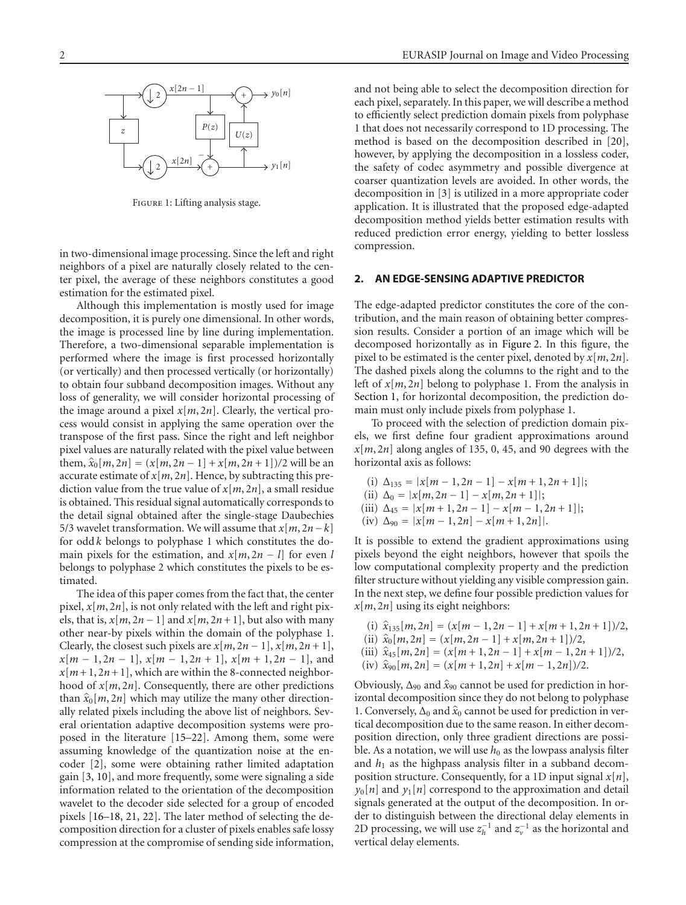

<span id="page-1-0"></span>Figure 1: Lifting analysis stage.

in two-dimensional image processing. Since the left and right neighbors of a pixel are naturally closely related to the center pixel, the average of these neighbors constitutes a good estimation for the estimated pixel.

Although this implementation is mostly used for image decomposition, it is purely one dimensional. In other words, the image is processed line by line during implementation. Therefore, a two-dimensional separable implementation is performed where the image is first processed horizontally (or vertically) and then processed vertically (or horizontally) to obtain four subband decomposition images. Without any loss of generality, we will consider horizontal processing of the image around a pixel  $x[m, 2n]$ . Clearly, the vertical process would consist in applying the same operation over the transpose of the first pass. Since the right and left neighbor pixel values are naturally related with the pixel value between them,  $\hat{x}_0[m, 2n] = (x[m, 2n-1] + x[m, 2n+1])/2$  will be an accurate estimate of  $x[m, 2n]$ . Hence, by subtracting this prediction value from the true value of *x*[*m*, 2*n*], a small residue is obtained. This residual signal automatically corresponds to the detail signal obtained after the single-stage Daubechies 5/3 wavelet transformation. We will assume that  $x[m, 2n-k]$ for odd *k* belongs to polyphase 1 which constitutes the domain pixels for the estimation, and  $x[m, 2n - l]$  for even *l* belongs to polyphase 2 which constitutes the pixels to be estimated.

The idea of this paper comes from the fact that, the center pixel,  $x[m, 2n]$ , is not only related with the left and right pixels, that is,  $x[m, 2n-1]$  and  $x[m, 2n+1]$ , but also with many other near-by pixels within the domain of the polyphase 1. Clearly, the closest such pixels are  $x[m, 2n - 1]$ ,  $x[m, 2n + 1]$ , *<sup>x</sup>*[*<sup>m</sup>* <sup>−</sup> 1, 2*<sup>n</sup>* <sup>−</sup> 1], *<sup>x</sup>*[*<sup>m</sup>* <sup>−</sup> 1, 2*<sup>n</sup>* + 1], *<sup>x</sup>*[*<sup>m</sup>* + 1, 2*<sup>n</sup>* <sup>−</sup> 1], and  $x[m+1, 2n+1]$ , which are within the 8-connected neighborhood of *x*[*m*, 2*n*]. Consequently, there are other predictions than  $\hat{x}_0[m, 2n]$  which may utilize the many other directionally related pixels including the above list of neighbors. Several orientation adaptive decomposition systems were proposed in the literature [\[15](#page-6-3)[–22](#page-6-4)]. Among them, some were assuming knowledge of the quantization noise at the encoder [\[2](#page-5-2)], some were obtaining rather limited adaptation gain [\[3,](#page-5-3) [10](#page-5-11)], and more frequently, some were signaling a side information related to the orientation of the decomposition wavelet to the decoder side selected for a group of encoded pixels [\[16](#page-6-5)[–18](#page-6-6), [21,](#page-6-7) [22\]](#page-6-4). The later method of selecting the decomposition direction for a cluster of pixels enables safe lossy compression at the compromise of sending side information,

and not being able to select the decomposition direction for each pixel, separately. In this paper, we will describe a method to efficiently select prediction domain pixels from polyphase 1 that does not necessarily correspond to 1D processing. The method is based on the decomposition described in [\[20](#page-6-8)], however, by applying the decomposition in a lossless coder, the safety of codec asymmetry and possible divergence at coarser quantization levels are avoided. In other words, the decomposition in [\[3](#page-5-3)] is utilized in a more appropriate coder application. It is illustrated that the proposed edge-adapted decomposition method yields better estimation results with reduced prediction error energy, yielding to better lossless compression.

## **2. AN EDGE-SENSING ADAPTIVE PREDICTOR**

The edge-adapted predictor constitutes the core of the contribution, and the main reason of obtaining better compression results. Consider a portion of an image which will be decomposed horizontally as in [Figure 2.](#page-2-0) In this figure, the pixel to be estimated is the center pixel, denoted by *x*[*m*, 2*n*]. The dashed pixels along the columns to the right and to the left of *x*[*m*, 2*n*] belong to polyphase 1. From the analysis in [Section 1,](#page-0-0) for horizontal decomposition, the prediction domain must only include pixels from polyphase 1.

To proceed with the selection of prediction domain pixels, we first define four gradient approximations around  $x[m, 2n]$  along angles of 135, 0, 45, and 90 degrees with the horizontal axis as follows:

- (i)  $\Delta_{135} = |x[m-1, 2n-1] x[m+1, 2n+1]$ ;
- (ii)  $\Delta_0 = |x[m, 2n 1] x[m, 2n + 1]|;$
- (iii)  $\Delta_{45} = |x[m+1, 2n-1] x[m-1, 2n+1]|;$
- (iv)  $\Delta_{90} = |x[m-1, 2n] x[m+1, 2n]|$ .

It is possible to extend the gradient approximations using pixels beyond the eight neighbors, however that spoils the low computational complexity property and the prediction filter structure without yielding any visible compression gain. In the next step, we define four possible prediction values for *x*[*m*, 2*n*] using its eight neighbors:

- (i)  $\hat{x}_{135}[m, 2n] = (x[m-1, 2n-1] + x[m+1, 2n+1])/2,$
- $(iii) \ \hat{x}_0[m, 2n] = (x[m, 2n 1] + x[m, 2n + 1])/2,$
- (iii)  $\hat{x}_{45}[m, 2n] = (x[m+1, 2n-1] + x[m-1, 2n+1])/2,$
- $(iv)$   $\hat{x}_{90}[m, 2n] = (x[m+1, 2n] + x[m-1, 2n])/2.$

Obviously, <sup>Δ</sup><sup>90</sup> and *<sup>x</sup>*<sup>90</sup> cannot be used for prediction in horizontal decomposition since they do not belong to polyphase 1. Conversely,  $\Delta_0$  and  $\hat{x}_0$  cannot be used for prediction in vertical decomposition due to the same reason. In either decomposition direction, only three gradient directions are possible. As a notation, we will use  $h_0$  as the lowpass analysis filter and  $h_1$  as the highpass analysis filter in a subband decomposition structure. Consequently, for a 1D input signal *x*[*n*],  $y_0[n]$  and  $y_1[n]$  correspond to the approximation and detail signals generated at the output of the decomposition. In order to distinguish between the directional delay elements in 2D processing, we will use  $z_h^{-1}$  and  $z_v^{-1}$  as the horizontal and vertical delay elements.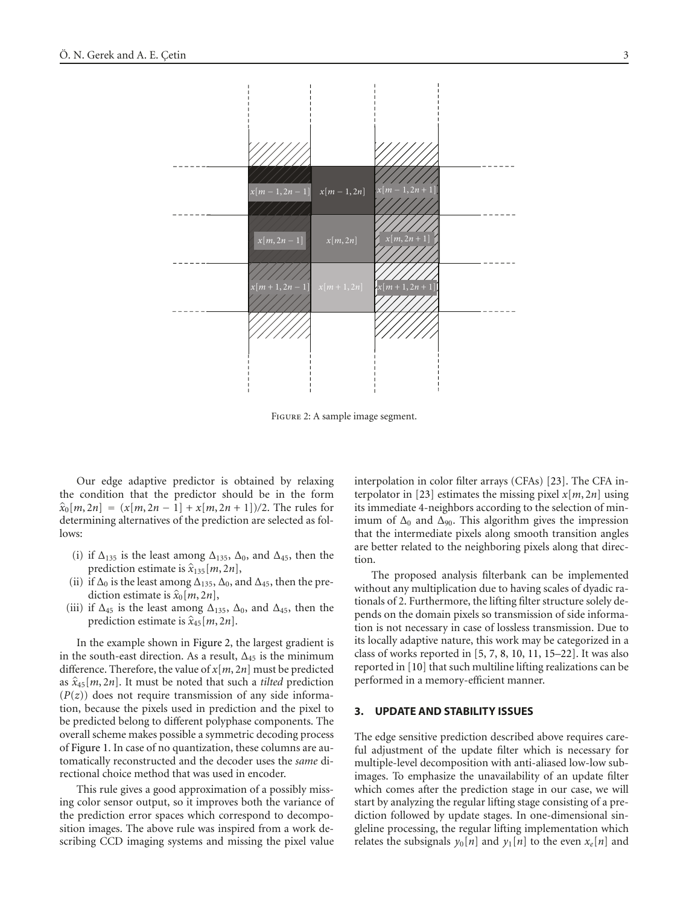

<span id="page-2-0"></span>Figure 2: A sample image segment.

Our edge adaptive predictor is obtained by relaxing the condition that the predictor should be in the form  $\hat{x}_0[m, 2n] = (x[m, 2n - 1] + x[m, 2n + 1])/2$ . The rules for determining alternatives of the prediction are selected as follows:

- (i) if  $\Delta_{135}$  is the least among  $\Delta_{135}$ ,  $\Delta_0$ , and  $\Delta_{45}$ , then the prediction estimate is  $\hat{x}_{135}[m, 2n]$ ,
- (ii) if  $\Delta_0$  is the least among  $\Delta_{135}$ ,  $\Delta_0$ , and  $\Delta_{45}$ , then the prediction estimate is  $\hat{x}_0[m, 2n]$ ,
- (iii) if  $\Delta_{45}$  is the least among  $\Delta_{135}$ ,  $\Delta_0$ , and  $\Delta_{45}$ , then the prediction estimate is  $\hat{x}_{45}[m, 2n]$ .

In the example shown in [Figure 2,](#page-2-0) the largest gradient is in the south-east direction. As a result,  $\Delta_{45}$  is the minimum difference. Therefore, the value of *x*[*m*, 2*n*] must be predicted as  $\hat{x}_{45}[m, 2n]$ . It must be noted that such a *tilted* prediction  $(P(z))$  does not require transmission of any side information, because the pixels used in prediction and the pixel to be predicted belong to different polyphase components. The overall scheme makes possible a symmetric decoding process of [Figure 1.](#page-1-0) In case of no quantization, these columns are automatically reconstructed and the decoder uses the *same* directional choice method that was used in encoder.

This rule gives a good approximation of a possibly missing color sensor output, so it improves both the variance of the prediction error spaces which correspond to decomposition images. The above rule was inspired from a work describing CCD imaging systems and missing the pixel value

interpolation in color filter arrays (CFAs) [\[23](#page-6-9)]. The CFA interpolator in [\[23\]](#page-6-9) estimates the missing pixel *x*[*m*, 2*n*] using its immediate 4-neighbors according to the selection of minimum of  $\Delta_0$  and  $\Delta_{90}$ . This algorithm gives the impression that the intermediate pixels along smooth transition angles are better related to the neighboring pixels along that direction.

The proposed analysis filterbank can be implemented without any multiplication due to having scales of dyadic rationals of 2. Furthermore, the lifting filter structure solely depends on the domain pixels so transmission of side information is not necessary in case of lossless transmission. Due to its locally adaptive nature, this work may be categorized in a class of works reported in [\[5](#page-5-4), [7,](#page-5-6) [8,](#page-5-7) [10,](#page-5-11) [11](#page-5-9), [15](#page-6-3)[–22](#page-6-4)]. It was also reported in [\[10\]](#page-5-11) that such multiline lifting realizations can be performed in a memory-efficient manner.

#### **3. UPDATE AND STABILITY ISSUES**

The edge sensitive prediction described above requires careful adjustment of the update filter which is necessary for multiple-level decomposition with anti-aliased low-low subimages. To emphasize the unavailability of an update filter which comes after the prediction stage in our case, we will start by analyzing the regular lifting stage consisting of a prediction followed by update stages. In one-dimensional singleline processing, the regular lifting implementation which relates the subsignals  $y_0[n]$  and  $y_1[n]$  to the even  $x_e[n]$  and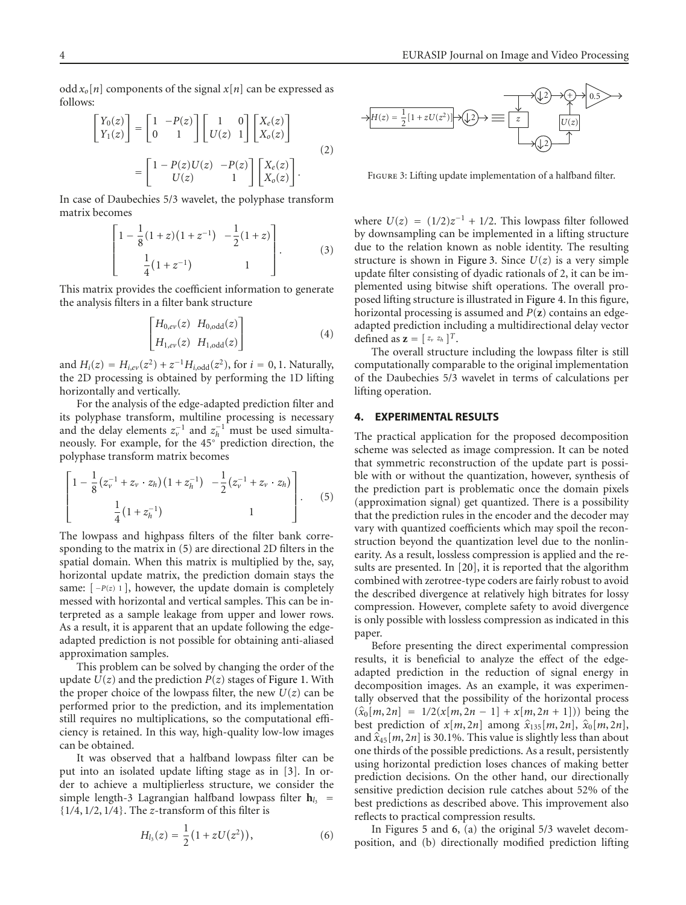odd  $x_o[n]$  components of the signal  $x[n]$  can be expressed as follows:

$$
\begin{bmatrix} Y_0(z) \\ Y_1(z) \end{bmatrix} = \begin{bmatrix} 1 & -P(z) \\ 0 & 1 \end{bmatrix} \begin{bmatrix} 1 & 0 \\ U(z) & 1 \end{bmatrix} \begin{bmatrix} X_e(z) \\ X_o(z) \end{bmatrix}
$$

$$
= \begin{bmatrix} 1 - P(z)U(z) & -P(z) \\ U(z) & 1 \end{bmatrix} \begin{bmatrix} X_e(z) \\ X_o(z) \end{bmatrix}.
$$
 (2)

In case of Daubechies 5/3 wavelet, the polyphase transform matrix becomes

$$
\begin{bmatrix} 1 - \frac{1}{8}(1+z)(1+z^{-1}) & -\frac{1}{2}(1+z) \\ \frac{1}{4}(1+z^{-1}) & 1 \end{bmatrix}.
$$
 (3)

This matrix provides the coefficient information to generate the analysis filters in a filter bank structure

$$
\begin{bmatrix} H_{0,e\nu}(z) & H_{0,\text{odd}}(z) \\ H_{1,e\nu}(z) & H_{1,\text{odd}}(z) \end{bmatrix}
$$
 (4)

and  $H_i(z) = H_{i,ev}(z^2) + z^{-1}H_{i,odd}(z^2)$ , for  $i = 0, 1$ . Naturally, the 2D processing is obtained by performing the 1D lifting horizontally and vertically.

For the analysis of the edge-adapted prediction filter and its polyphase transform, multiline processing is necessary and the delay elements  $z_v^{-1}$  and  $z_h^{-1}$  must be used simultaneously. For example, for the 45◦ prediction direction, the polyphase transform matrix becomes

$$
\left[\begin{array}{ccc} 1 - \frac{1}{8} (z_{\nu}^{-1} + z_{\nu} \cdot z_h) (1 + z_h^{-1}) & -\frac{1}{2} (z_{\nu}^{-1} + z_{\nu} \cdot z_h) \\ \frac{1}{4} (1 + z_h^{-1}) & 1 \end{array}\right]. \tag{5}
$$

The lowpass and highpass filters of the filter bank corresponding to the matrix in [\(5\)](#page-3-0) are directional 2D filters in the spatial domain. When this matrix is multiplied by the, say, horizontal update matrix, the prediction domain stays the same:  $[-P(z) 1]$ , however, the update domain is completely messed with horizontal and vertical samples. This can be interpreted as a sample leakage from upper and lower rows. As a result, it is apparent that an update following the edgeadapted prediction is not possible for obtaining anti-aliased approximation samples.

This problem can be solved by changing the order of the update  $U(z)$  and the prediction  $P(z)$  stages of [Figure 1.](#page-1-0) With the proper choice of the lowpass filter, the new  $U(z)$  can be performed prior to the prediction, and its implementation still requires no multiplications, so the computational efficiency is retained. In this way, high-quality low-low images can be obtained.

It was observed that a halfband lowpass filter can be put into an isolated update lifting stage as in [\[3\]](#page-5-3). In order to achieve a multiplierless structure, we consider the simple length-3 Lagrangian halfband lowpass filter  $h_{l3}$  = {1*/*4, 1*/*2, 1*/*4}. The *<sup>z</sup>*-transform of this filter is

$$
H_{l_3}(z) = \frac{1}{2}(1 + zU(z^2)), \qquad (6)
$$



<span id="page-3-1"></span>FIGURE 3: Lifting update implementation of a halfband filter.

where  $U(z) = (1/2)z^{-1} + 1/2$ . This lowpass filter followed by downsampling can be implemented in a lifting structure due to the relation known as noble identity. The resulting structure is shown in [Figure 3.](#page-3-1) Since  $U(z)$  is a very simple update filter consisting of dyadic rationals of 2, it can be implemented using bitwise shift operations. The overall proposed lifting structure is illustrated in [Figure 4.](#page-4-0) In this figure, horizontal processing is assumed and *P*(**z**) contains an edgeadapted prediction including a multidirectional delay vector defined as  $\mathbf{z} = [z_v z_h]^T$ .

The overall structure including the lowpass filter is still computationally comparable to the original implementation of the Daubechies 5/3 wavelet in terms of calculations per lifting operation.

#### **4. EXPERIMENTAL RESULTS**

<span id="page-3-0"></span>The practical application for the proposed decomposition scheme was selected as image compression. It can be noted that symmetric reconstruction of the update part is possible with or without the quantization, however, synthesis of the prediction part is problematic once the domain pixels (approximation signal) get quantized. There is a possibility that the prediction rules in the encoder and the decoder may vary with quantized coefficients which may spoil the reconstruction beyond the quantization level due to the nonlinearity. As a result, lossless compression is applied and the results are presented. In [\[20\]](#page-6-8), it is reported that the algorithm combined with zerotree-type coders are fairly robust to avoid the described divergence at relatively high bitrates for lossy compression. However, complete safety to avoid divergence is only possible with lossless compression as indicated in this paper.

Before presenting the direct experimental compression results, it is beneficial to analyze the effect of the edgeadapted prediction in the reduction of signal energy in decomposition images. As an example, it was experimentally observed that the possibility of the horizontal process  $(\hat{x}_0[m, 2n] = 1/2(x[m, 2n - 1] + x[m, 2n + 1]))$  being the best prediction of  $x[m, 2n]$  among  $\hat{x}_{135}[m, 2n]$ ,  $\hat{x}_0[m, 2n]$ , and  $\hat{x}_{45}[m, 2n]$  is 30.1%. This value is slightly less than about one thirds of the possible predictions. As a result, persistently using horizontal prediction loses chances of making better prediction decisions. On the other hand, our directionally sensitive prediction decision rule catches about 52% of the best predictions as described above. This improvement also reflects to practical compression results.

In Figures [5](#page-4-1) and [6,](#page-4-2) (a) the original 5/3 wavelet decomposition, and (b) directionally modified prediction lifting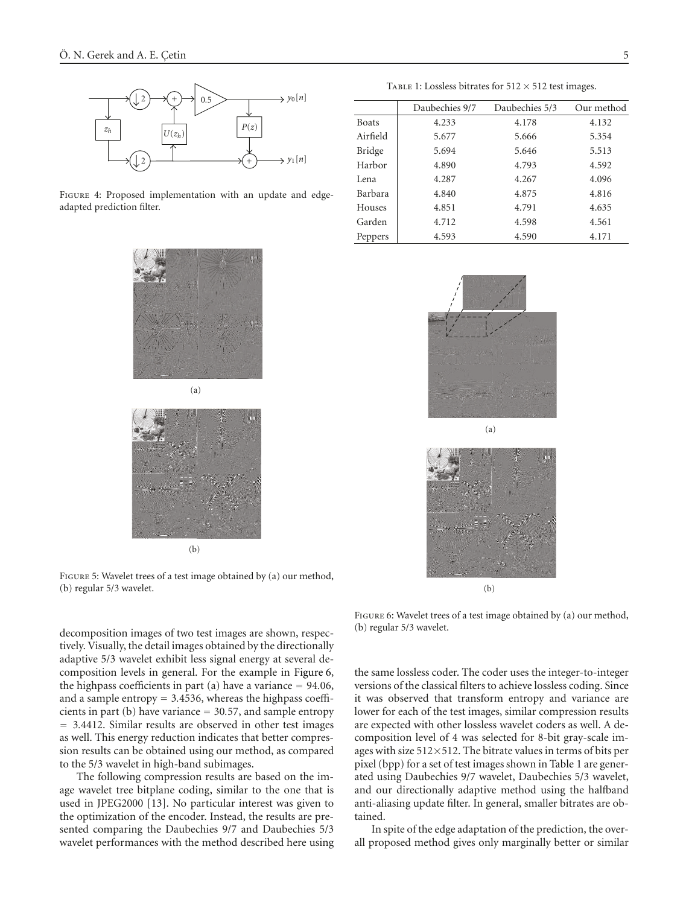

<span id="page-4-0"></span>FIGURE 4: Proposed implementation with an update and edgeadapted prediction filter.





Figure 5: Wavelet trees of a test image obtained by (a) our method, (b) regular 5/3 wavelet.

TABLE 1: Lossless bitrates for  $512 \times 512$  test images. Daubechies 9/7 Daubechies 5/3 Our method

<span id="page-4-3"></span>

|               | Daubechies 9/7 | Daubechies 5/3 | Our method |
|---------------|----------------|----------------|------------|
| <b>Boats</b>  | 4.233          | 4.178          | 4.132      |
| Airfield      | 5.677          | 5.666          | 5.354      |
| <b>Bridge</b> | 5.694          | 5.646          | 5.513      |
| Harbor        | 4.890          | 4.793          | 4.592      |
| Lena          | 4.287          | 4.267          | 4.096      |
| Barbara       | 4.840          | 4.875          | 4.816      |
| Houses        | 4.851          | 4.791          | 4.635      |
| Garden        | 4.712          | 4.598          | 4.561      |
| Peppers       | 4.593          | 4.590          | 4.171      |



(b)

<span id="page-4-1"></span>

<span id="page-4-2"></span>FIGURE 6: Wavelet trees of a test image obtained by (a) our method, (b) regular 5/3 wavelet.

decomposition images of two test images are shown, respectively. Visually, the detail images obtained by the directionally adaptive 5/3 wavelet exhibit less signal energy at several decomposition levels in general. For the example in [Figure 6,](#page-4-2) the highpass coefficients in part (a) have a variance <sup>=</sup> <sup>94</sup>*.*06, and a sample entropy <sup>=</sup> <sup>3</sup>*.*4536, whereas the highpass coefficients in part (b) have variance <sup>=</sup> <sup>30</sup>*.*57, and sample entropy <sup>=</sup> <sup>3</sup>*.*4412. Similar results are observed in other test images as well. This energy reduction indicates that better compression results can be obtained using our method, as compared to the 5/3 wavelet in high-band subimages.

The following compression results are based on the image wavelet tree bitplane coding, similar to the one that is used in JPEG2000 [\[13\]](#page-6-1). No particular interest was given to the optimization of the encoder. Instead, the results are presented comparing the Daubechies 9/7 and Daubechies 5/3 wavelet performances with the method described here using the same lossless coder. The coder uses the integer-to-integer versions of the classical filters to achieve lossless coding. Since it was observed that transform entropy and variance are lower for each of the test images, similar compression results are expected with other lossless wavelet coders as well. A decomposition level of 4 was selected for 8-bit gray-scale images with size  $512\times512$ . The bitrate values in terms of bits per pixel (bpp) for a set of test images shown in [Table 1](#page-4-3) are generated using Daubechies 9/7 wavelet, Daubechies 5/3 wavelet, and our directionally adaptive method using the halfband anti-aliasing update filter. In general, smaller bitrates are obtained.

In spite of the edge adaptation of the prediction, the overall proposed method gives only marginally better or similar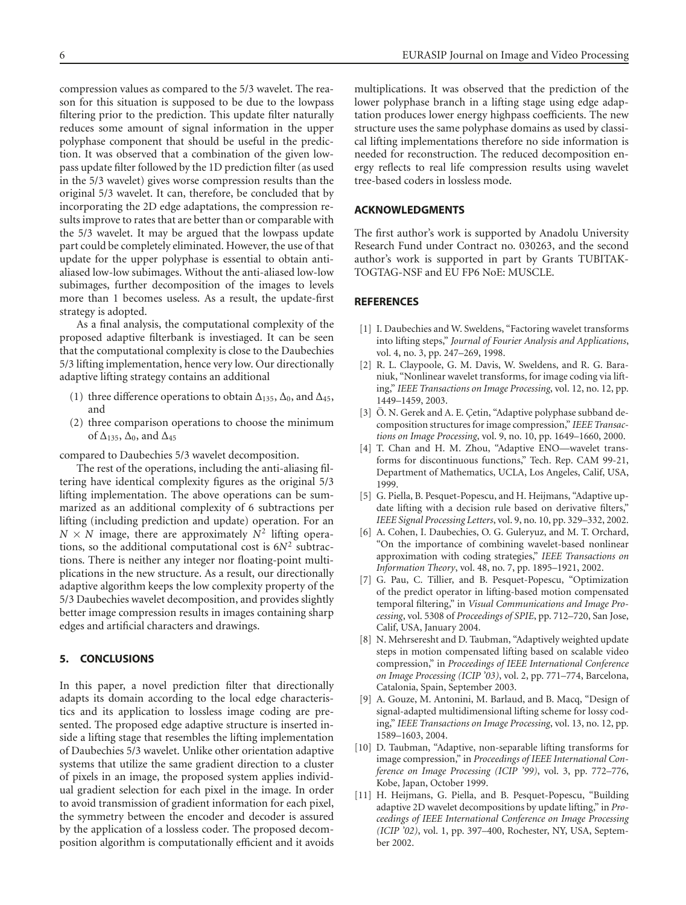compression values as compared to the 5/3 wavelet. The reason for this situation is supposed to be due to the lowpass filtering prior to the prediction. This update filter naturally reduces some amount of signal information in the upper polyphase component that should be useful in the prediction. It was observed that a combination of the given lowpass update filter followed by the 1D prediction filter (as used in the 5/3 wavelet) gives worse compression results than the original 5/3 wavelet. It can, therefore, be concluded that by incorporating the 2D edge adaptations, the compression results improve to rates that are better than or comparable with the 5/3 wavelet. It may be argued that the lowpass update part could be completely eliminated. However, the use of that update for the upper polyphase is essential to obtain antialiased low-low subimages. Without the anti-aliased low-low subimages, further decomposition of the images to levels more than 1 becomes useless. As a result, the update-first strategy is adopted.

As a final analysis, the computational complexity of the proposed adaptive filterbank is investiaged. It can be seen that the computational complexity is close to the Daubechies 5/3 lifting implementation, hence very low. Our directionally adaptive lifting strategy contains an additional

- (1) three difference operations to obtain  $\Delta_{135}$ ,  $\Delta_0$ , and  $\Delta_{45}$ , and
- (2) three comparison operations to choose the minimum of  $\Delta_{135}$ ,  $\Delta_0$ , and  $\Delta_{45}$

compared to Daubechies 5/3 wavelet decomposition.

The rest of the operations, including the anti-aliasing filtering have identical complexity figures as the original 5/3 lifting implementation. The above operations can be summarized as an additional complexity of 6 subtractions per lifting (including prediction and update) operation. For an  $N \times N$  image, there are approximately  $N^2$  lifting operations, so the additional computational cost is 6*N*<sup>2</sup> subtractions. There is neither any integer nor floating-point multiplications in the new structure. As a result, our directionally adaptive algorithm keeps the low complexity property of the 5/3 Daubechies wavelet decomposition, and provides slightly better image compression results in images containing sharp edges and artificial characters and drawings.

# **5. CONCLUSIONS**

In this paper, a novel prediction filter that directionally adapts its domain according to the local edge characteristics and its application to lossless image coding are presented. The proposed edge adaptive structure is inserted inside a lifting stage that resembles the lifting implementation of Daubechies 5/3 wavelet. Unlike other orientation adaptive systems that utilize the same gradient direction to a cluster of pixels in an image, the proposed system applies individual gradient selection for each pixel in the image. In order to avoid transmission of gradient information for each pixel, the symmetry between the encoder and decoder is assured by the application of a lossless coder. The proposed decomposition algorithm is computationally efficient and it avoids multiplications. It was observed that the prediction of the lower polyphase branch in a lifting stage using edge adaptation produces lower energy highpass coefficients. The new structure uses the same polyphase domains as used by classical lifting implementations therefore no side information is needed for reconstruction. The reduced decomposition energy reflects to real life compression results using wavelet tree-based coders in lossless mode.

# **ACKNOWLEDGMENTS**

The first author's work is supported by Anadolu University Research Fund under Contract no. 030263, and the second author's work is supported in part by Grants TUBITAK-TOGTAG-NSF and EU FP6 NoE: MUSCLE.

## <span id="page-5-0"></span>**REFERENCES**

- <span id="page-5-1"></span>[1] I. Daubechies and W. Sweldens, "Factoring wavelet transforms into lifting steps," *Journal of Fourier Analysis and Applications*, vol. 4, no. 3, pp. 247–269, 1998.
- <span id="page-5-2"></span>[2] R. L. Claypoole, G. M. Davis, W. Sweldens, and R. G. Baraniuk, "Nonlinear wavelet transforms, for image coding via lifting," *IEEE Transactions on Image Processing*, vol. 12, no. 12, pp. 1449–1459, 2003.
- <span id="page-5-3"></span>[3] Ö. N. Gerek and A. E. Çetin, "Adaptive polyphase subband decomposition structures for image compression," *IEEE Transactions on Image Processing*, vol. 9, no. 10, pp. 1649–1660, 2000.
- <span id="page-5-10"></span>[4] T. Chan and H. M. Zhou, "Adaptive ENO—wavelet transforms for discontinuous functions," Tech. Rep. CAM 99-21, Department of Mathematics, UCLA, Los Angeles, Calif, USA, 1999.
- <span id="page-5-4"></span>[5] G. Piella, B. Pesquet-Popescu, and H. Heijmans, "Adaptive update lifting with a decision rule based on derivative filters," *IEEE Signal Processing Letters*, vol. 9, no. 10, pp. 329–332, 2002.
- <span id="page-5-5"></span>[6] A. Cohen, I. Daubechies, O. G. Guleryuz, and M. T. Orchard, "On the importance of combining wavelet-based nonlinear approximation with coding strategies," *IEEE Transactions on Information Theory*, vol. 48, no. 7, pp. 1895–1921, 2002.
- <span id="page-5-6"></span>[7] G. Pau, C. Tillier, and B. Pesquet-Popescu, "Optimization of the predict operator in lifting-based motion compensated temporal filtering," in *Visual Communications and Image Processing*, vol. 5308 of *Proceedings of SPIE*, pp. 712–720, San Jose, Calif, USA, January 2004.
- <span id="page-5-7"></span>[8] N. Mehrseresht and D. Taubman, "Adaptively weighted update steps in motion compensated lifting based on scalable video compression," in *Proceedings of IEEE International Conference on Image Processing (ICIP '03)*, vol. 2, pp. 771–774, Barcelona, Catalonia, Spain, September 2003.
- <span id="page-5-8"></span>[9] A. Gouze, M. Antonini, M. Barlaud, and B. Macq, "Design of signal-adapted multidimensional lifting scheme for lossy coding," *IEEE Transactions on Image Processing*, vol. 13, no. 12, pp. 1589–1603, 2004.
- <span id="page-5-11"></span>[10] D. Taubman, "Adaptive, non-separable lifting transforms for image compression," in *Proceedings of IEEE International Conference on Image Processing (ICIP '99)*, vol. 3, pp. 772–776, Kobe, Japan, October 1999.
- <span id="page-5-9"></span>[11] H. Heijmans, G. Piella, and B. Pesquet-Popescu, "Building adaptive 2D wavelet decompositions by update lifting," in *Proceedings of IEEE International Conference on Image Processing (ICIP '02)*, vol. 1, pp. 397–400, Rochester, NY, USA, September 2002.